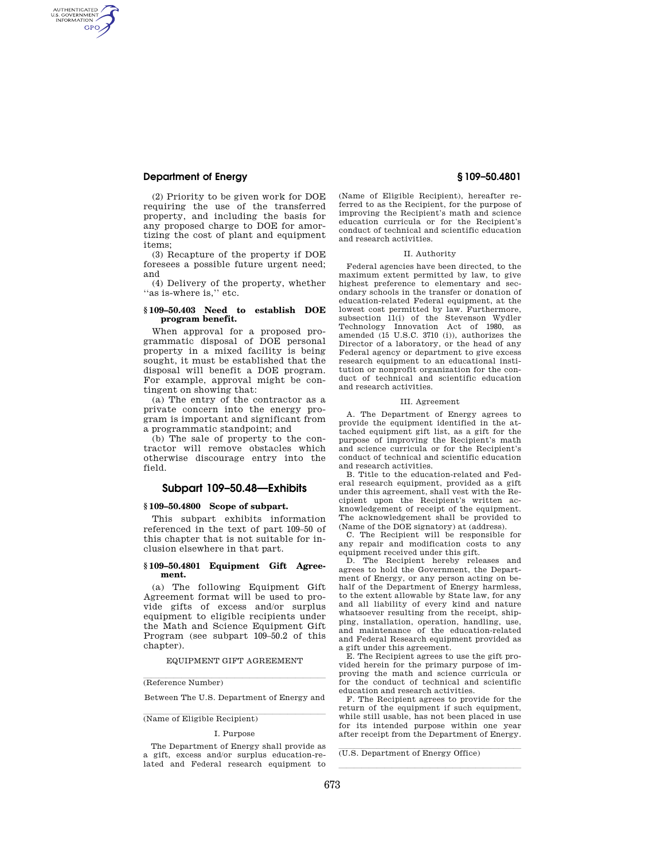# **Department of Energy § 109–50.4801**

AUTHENTICATED<br>U.S. GOVERNMENT<br>INFORMATION **GPO** 

> (2) Priority to be given work for DOE requiring the use of the transferred property, and including the basis for any proposed charge to DOE for amortizing the cost of plant and equipment items;

(3) Recapture of the property if DOE foresees a possible future urgent need; and

(4) Delivery of the property, whether "as is-where is," etc.

## **§ 109–50.403 Need to establish DOE program benefit.**

When approval for a proposed programmatic disposal of DOE personal property in a mixed facility is being sought, it must be established that the disposal will benefit a DOE program. For example, approval might be contingent on showing that:

(a) The entry of the contractor as a private concern into the energy program is important and significant from a programmatic standpoint; and

(b) The sale of property to the contractor will remove obstacles which otherwise discourage entry into the field.

# **Subpart 109–50.48—Exhibits**

## **§ 109–50.4800 Scope of subpart.**

This subpart exhibits information referenced in the text of part 109–50 of this chapter that is not suitable for inclusion elsewhere in that part.

## **§ 109–50.4801 Equipment Gift Agreement.**

(a) The following Equipment Gift Agreement format will be used to provide gifts of excess and/or surplus equipment to eligible recipients under the Math and Science Equipment Gift Program (see subpart 109–50.2 of this chapter).

EQUIPMENT GIFT AGREEMENT

# (Reference Number)

Between The U.S. Department of Energy and

(Name of Eligible Recipient)

#### I. Purpose

The Department of Energy shall provide as a gift, excess and/or surplus education-related and Federal research equipment to

(Name of Eligible Recipient), hereafter referred to as the Recipient, for the purpose of improving the Recipient's math and science education curricula or for the Recipient's conduct of technical and scientific education and research activities.

#### II. Authority

Federal agencies have been directed, to the maximum extent permitted by law, to give highest preference to elementary and secondary schools in the transfer or donation of education-related Federal equipment, at the lowest cost permitted by law. Furthermore, subsection 11(i) of the Stevenson Wydler Technology Innovation Act of 1980, as amended (15 U.S.C. 3710 (i)), authorizes the Director of a laboratory, or the head of any Federal agency or department to give excess research equipment to an educational institution or nonprofit organization for the conduct of technical and scientific education and research activities.

### III. Agreement

A. The Department of Energy agrees to provide the equipment identified in the attached equipment gift list, as a gift for the purpose of improving the Recipient's math and science curricula or for the Recipient's conduct of technical and scientific education and research activities.

B. Title to the education-related and Federal research equipment, provided as a gift under this agreement, shall vest with the Recipient upon the Recipient's written acknowledgement of receipt of the equipment. The acknowledgement shall be provided to (Name of the DOE signatory) at (address).

C. The Recipient will be responsible for any repair and modification costs to any equipment received under this gift.

D. The Recipient hereby releases and agrees to hold the Government, the Department of Energy, or any person acting on behalf of the Department of Energy harmless, to the extent allowable by State law, for any and all liability of every kind and nature whatsoever resulting from the receipt, shipping, installation, operation, handling, use, and maintenance of the education-related and Federal Research equipment provided as a gift under this agreement.

E. The Recipient agrees to use the gift provided herein for the primary purpose of improving the math and science curricula or for the conduct of technical and scientific education and research activities.

F. The Recipient agrees to provide for the return of the equipment if such equipment, while still usable, has not been placed in use for its intended purpose within one year after receipt from the Department of Energy.

llland av den stadsmannsna og stadsmannsna og stadsmannsna og stadsmannsna og stadsmannsna og stadsmannsna og

 $\overline{\text{(U.S. Department of Energy Office)}}$